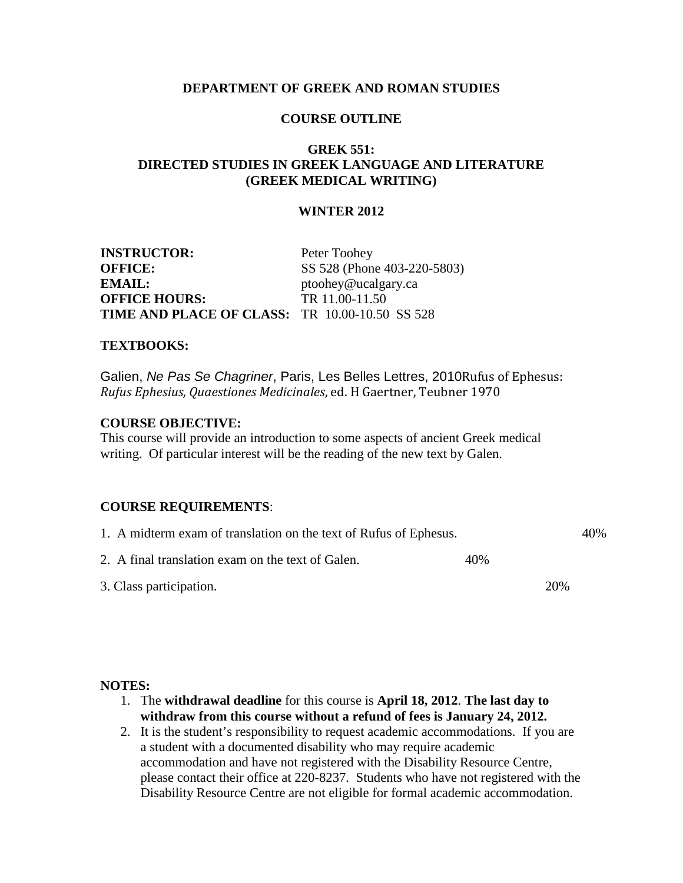# **DEPARTMENT OF GREEK AND ROMAN STUDIES**

# **COURSE OUTLINE**

# **GREK 551: DIRECTED STUDIES IN GREEK LANGUAGE AND LITERATURE (GREEK MEDICAL WRITING)**

# **WINTER 2012**

| <b>INSTRUCTOR:</b>                                    | Peter Toohey                |
|-------------------------------------------------------|-----------------------------|
| <b>OFFICE:</b>                                        | SS 528 (Phone 403-220-5803) |
| EMAIL:                                                | ptoohey@ucalgary.ca         |
| <b>OFFICE HOURS:</b>                                  | TR 11.00-11.50              |
| <b>TIME AND PLACE OF CLASS: TR 10.00-10.50 SS 528</b> |                             |

#### **TEXTBOOKS:**

Galien, *Ne Pas Se Chagriner*, Paris, Les Belles Lettres, 2010Rufus of Ephesus: *Rufus Ephesius, Quaestiones Medicinales*, ed. H Gaertner, Teubner 1970

## **COURSE OBJECTIVE:**

This course will provide an introduction to some aspects of ancient Greek medical writing. Of particular interest will be the reading of the new text by Galen.

## **COURSE REQUIREMENTS**:

|                         | 1. A midterm exam of translation on the text of Rufus of Ephesus. |      |  | 40% |
|-------------------------|-------------------------------------------------------------------|------|--|-----|
|                         | 2. A final translation exam on the text of Galen.                 | 40\% |  |     |
| 3. Class participation. |                                                                   | 20%  |  |     |

## **NOTES:**

- 1. The **withdrawal deadline** for this course is **April 18, 2012**. **The last day to withdraw from this course without a refund of fees is January 24, 2012.**
- 2. It is the student's responsibility to request academic accommodations. If you are a student with a documented disability who may require academic accommodation and have not registered with the Disability Resource Centre, please contact their office at 220-8237. Students who have not registered with the Disability Resource Centre are not eligible for formal academic accommodation.